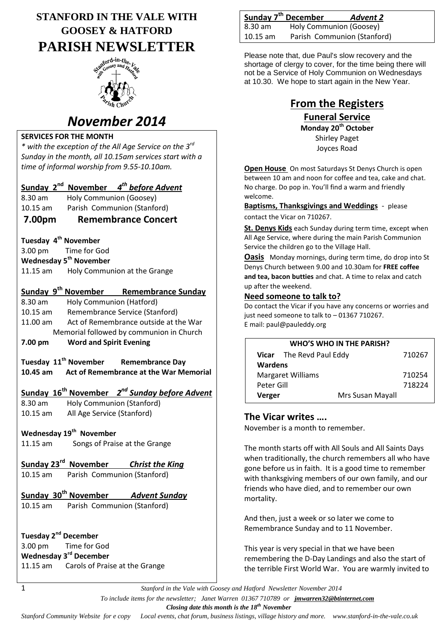# **STANFORD IN THE VALE WITH GOOSEY & HATFORD PARISH NEWSLETTER**



# *November 2014*

### **SERVICES FOR THE MONTH**

*\* with the exception of the All Age Service on the 3rd Sunday in the month, all 10.15am services start with a time of informal worship from 9.55-10.10am.*

## **Sunday 2nd November** *4 th before Advent*

8.30 am Holy Communion (Goosey)

10.15 am Parish Communion (Stanford)

### **7.00pm Remembrance Concert**

#### **Tuesday 4 th November**

3.00 pm Time for God **Wednesday 5th November** 11.15 am Holy Communion at the Grange

### **Sunday 9th November Remembrance Sunday**

8.30 am Holy Communion (Hatford) 10.15 am Remembrance Service (Stanford) 11.00 am Act of Remembrance outside at the War Memorial followed by communion in Church

**7.00 pm Word and Spirit Evening**

**Tuesday 11th November Remembrance Day 10.45 am Act of Remembrance at the War Memorial**

## **Sunday 16th November** *2 nd Sunday before Advent*

8.30 am Holy Communion (Stanford) 10.15 am All Age Service (Stanford)

## **Wednesday 19th November**

11.15 am Songs of Praise at the Grange

# **Sunday 23rd November** *Christ the King*

10.15 am Parish Communion (Stanford)

## **Sunday 30th November** *Advent Sunday*

10.15 am Parish Communion (Stanford)

**Tuesday 2nd December** 3.00 pm Time for God **Wednesday 3rd December**

11.15 am Carols of Praise at the Grange

|          | Sunday 7 <sup>th</sup> December | <b>Advent 2</b>             |
|----------|---------------------------------|-----------------------------|
| 8.30 am  | Holy Communion (Goosey)         |                             |
| 10.15 am |                                 | Parish Communion (Stanford) |

Please note that, due Paul's slow recovery and the shortage of clergy to cover, for the time being there will not be a Service of Holy Communion on Wednesdays at 10.30. We hope to start again in the New Year.

# **From the Registers**

**Funeral Service Monday 20th October** Shirley Paget Joyces Road

**Open House** On most Saturdays St Denys Church is open between 10 am and noon for coffee and tea, cake and chat. No charge. Do pop in. You'll find a warm and friendly welcome.

**Baptisms, Thanksgivings and Weddings** - please contact the Vicar on 710267.

**St. Denys Kids** each Sunday during term time, except when All Age Service, where during the main Parish Communion Service the children go to the Village Hall.

**Oasis** Monday mornings, during term time, do drop into St Denys Church between 9.00 and 10.30am for **FREE coffee and tea, bacon butties** and chat. A time to relax and catch up after the weekend.

#### **Need someone to talk to?**

Do contact the Vicar if you have any concerns or worries and just need someone to talk to – 01367 710267. E mail: paul@pauleddy.org

| WHO'S WHO IN THE PARISH? |                                 |                  |        |  |
|--------------------------|---------------------------------|------------------|--------|--|
|                          | <b>Vicar</b> The Revd Paul Eddy |                  | 710267 |  |
| <b>Wardens</b>           |                                 |                  |        |  |
| <b>Margaret Williams</b> |                                 | 710254           |        |  |
| Peter Gill               |                                 |                  | 718224 |  |
| Verger                   |                                 | Mrs Susan Mayall |        |  |

### **The Vicar writes ….**

November is a month to remember.

The month starts off with All Souls and All Saints Days when traditionally, the church remembers all who have gone before us in faith. It is a good time to remember with thanksgiving members of our own family, and our friends who have died, and to remember our own mortality.

And then, just a week or so later we come to Remembrance Sunday and to 11 November.

This year is very special in that we have been remembering the D-Day Landings and also the start of the terrible First World War. You are warmly invited to

1 *Stanford in the Vale with Goosey and Hatford Newsletter November 2014*

 *To include items for the newsletter; Janet Warren 01367 710789 or jmwarren32@btinternet.com*

 *Closing date this month is the 18th November*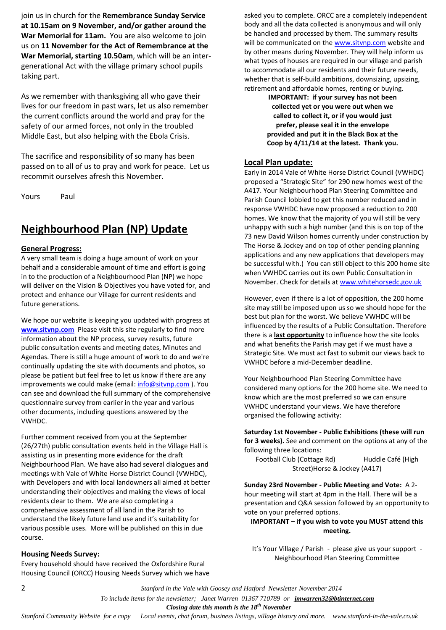join us in church for the **Remembrance Sunday Service at 10.15am on 9 November, and/or gather around the War Memorial for 11am.** You are also welcome to join us on **11 November for the Act of Remembrance at the War Memorial, starting 10.50am**, which will be an intergenerational Act with the village primary school pupils taking part.

As we remember with thanksgiving all who gave their lives for our freedom in past wars, let us also remember the current conflicts around the world and pray for the safety of our armed forces, not only in the troubled Middle East, but also helping with the Ebola Crisis.

The sacrifice and responsibility of so many has been passed on to all of us to pray and work for peace. Let us recommit ourselves afresh this November.

Yours Paul

# **Neighbourhood Plan (NP) Update**

#### **General Progress:**

A very small team is doing a huge amount of work on your behalf and a considerable amount of time and effort is going in to the production of a Neighbourhood Plan (NP) we hope will deliver on the Vision & Objectives you have voted for, and protect and enhance our Village for current residents and future generations.

We hope our website is keeping you updated with progress at **[www.sitvnp.com](http://www.sitvnp.com/)** Please visit this site regularly to find more information about the NP process, survey results, future public consultation events and meeting dates, Minutes and Agendas. There is still a huge amount of work to do and we're continually updating the site with documents and photos, so please be patient but feel free to let us know if there are any improvements we could make (email: info@sitynp.com). You can see and download the full summary of the comprehensive questionnaire survey from earlier in the year and various other documents, including questions answered by the VWHDC.

Further comment received from you at the September (26/27th) public consultation events held in the Village Hall is assisting us in presenting more evidence for the draft Neighbourhood Plan. We have also had several dialogues and meetings with Vale of White Horse District Council (VWHDC), with Developers and with local landowners all aimed at better understanding their objectives and making the views of local residents clear to them. We are also completing a comprehensive assessment of all land in the Parish to understand the likely future land use and it's suitability for various possible uses. More will be published on this in due course.

#### **Housing Needs Survey:**

Every household should have received the Oxfordshire Rural Housing Council (ORCC) Housing Needs Survey which we have asked you to complete. ORCC are a completely independent body and all the data collected is anonymous and will only be handled and processed by them. The summary results will be communicated on th[e www.sitvnp.com](http://www.sitvnp.com/) website and by other means during November. They will help inform us what types of houses are required in our village and parish to accommodate all our residents and their future needs, whether that is self-build ambitions, downsizing, upsizing, retirement and affordable homes, renting or buying.

> **IMPORTANT: if your survey has not been collected yet or you were out when we called to collect it, or if you would just prefer, please seal it in the envelope provided and put it in the Black Box at the Coop by 4/11/14 at the latest. Thank you.**

#### **Local Plan update:**

Early in 2014 Vale of White Horse District Council (VWHDC) proposed a "Strategic Site" for 290 new homes west of the A417. Your Neighbourhood Plan Steering Committee and Parish Council lobbied to get this number reduced and in response VWHDC have now proposed a reduction to 200 homes. We know that the majority of you will still be very unhappy with such a high number (and this is on top of the 73 new David Wilson homes currently under construction by The Horse & Jockey and on top of other pending planning applications and any new applications that developers may be successful with.) You can still object to this 200 home site when VWHDC carries out its own Public Consultation in November. Check for details at [www.whitehorsedc.gov.uk](http://www.whitehorsedc.gov.uk/)

However, even if there is a lot of opposition, the 200 home site may still be imposed upon us so we should hope for the best but plan for the worst. We believe VWHDC will be influenced by the results of a Public Consultation. Therefore there is a **last opportunity** to influence how the site looks and what benefits the Parish may get if we must have a Strategic Site. We must act fast to submit our views back to VWHDC before a mid-December deadline.

Your Neighbourhood Plan Steering Committee have considered many options for the 200 home site. We need to know which are the most preferred so we can ensure VWHDC understand your views. We have therefore organised the following activity:

**Saturday 1st November - Public Exhibitions (these will run for 3 weeks).** See and comment on the options at any of the following three locations:

Football Club (Cottage Rd) Huddle Café (High Street)Horse & Jockey (A417)

**Sunday 23rd November - Public Meeting and Vote:** A 2 hour meeting will start at 4pm in the Hall. There will be a presentation and Q&A session followed by an opportunity to vote on your preferred options.

#### **IMPORTANT – if you wish to vote you MUST attend this meeting.**

It's Your Village / Parish - please give us your support - Neighbourhood Plan Steering Committee

2 *Stanford in the Vale with Goosey and Hatford Newsletter November 2014*

 *To include items for the newsletter; Janet Warren 01367 710789 or jmwarren32@btinternet.com*

 *Closing date this month is the 18th November*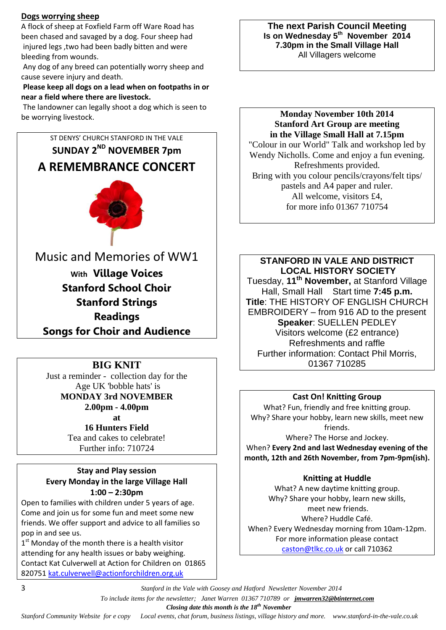#### **Dogs worrying sheep**

A flock of sheep at Foxfield Farm off Ware Road has been chased and savaged by a dog. Four sheep had injured legs ,two had been badly bitten and were bleeding from wounds.

Any dog of any breed can potentially worry sheep and cause severe injury and death.

**Please keep all dogs on a lead when on footpaths in or near a field where there are livestock.**

The landowner can legally shoot a dog which is seen to be worrying livestock.



**Songs for Choir and Audience**

## **BIG KNIT**

Just a reminder - collection day for the Age UK 'bobble hats' is **MONDAY 3rd NOVEMBER 2.00pm - 4.00pm**

**at** 

**16 Hunters Field** Tea and cakes to celebrate! Further info: 710724

### **Stay and Play session Every Monday in the large Village Hall 1:00 – 2:30pm**

Open to families with children under 5 years of age. Come and join us for some fun and meet some new friends. We offer support and advice to all families so pop in and see us.

1<sup>st</sup> Monday of the month there is a health visitor attending for any health issues or baby weighing. Contact Kat Culverwell at Action for Children on 01865 820751 [kat.culverwell@actionforchildren.org.uk](mailto:kat.culverwell@actionforchildren.org.uk)

**The next Parish Council Meeting Is on Wednesday 5th November 2014 7.30pm in the Small Village Hall** All Villagers welcome

**Monday November 10th 2014 Stanford Art Group are meeting in the Village Small Hall at 7.15pm** "Colour in our World" Talk and workshop led by Wendy Nicholls. Come and enjoy a fun evening. Refreshments provided. Bring with you colour pencils/crayons/felt tips/ pastels and A4 paper and ruler. All welcome, visitors £4, for more info 01367 710754

**STANFORD IN VALE AND DISTRICT LOCAL HISTORY SOCIETY** Tuesday, **11 th November,** at Stanford Village Hall, Small Hall Start time **7:45 p.m. Title**: THE HISTORY OF ENGLISH CHURCH EMBROIDERY – from 916 AD to the present **Speaker**: SUELLEN PEDLEY Visitors welcome (£2 entrance) Refreshments and raffle Further information: Contact Phil Morris, 01367 710285

## **Cast On! Knitting Group**

What? Fun, friendly and free knitting group. Why? Share your hobby, learn new skills, meet new friends.

Where? The Horse and Jockey. When? **Every 2nd and last Wednesday evening of the month, 12th and 26th November, from 7pm-9pm(ish).**

## **Knitting at Huddle**

What? A new daytime knitting group. Why? Share your hobby, learn new skills, meet new friends. Where? Huddle Café. When? Every Wednesday morning from 10am-12pm. For more information please contact [caston@tlkc.co.uk](mailto:caston@tlkc.co.uk) or call 710362

3 *Stanford in the Vale with Goosey and Hatford Newsletter November 2014*

 *To include items for the newsletter; Janet Warren 01367 710789 or jmwarren32@btinternet.com*

 *Closing date this month is the 18th November*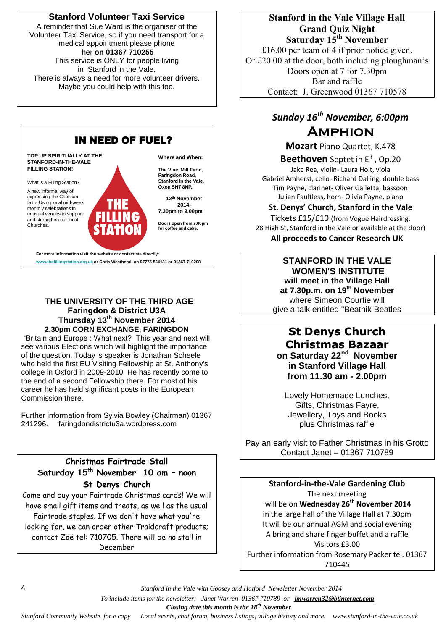### **Stanford Volunteer Taxi Service**

A reminder that Sue Ward is the organiser of the Volunteer Taxi Service, so if you need transport for a medical appointment please phone her **on 01367 710255** This service is ONLY for people living in Stanford in the Vale. There is always a need for more volunteer drivers.

Maybe you could help with this too.



#### **THE UNIVERSITY OF THE THIRD AGE Faringdon & District U3A Thursday 13th November 2014 2.30pm CORN EXCHANGE, FARINGDON**

"Britain and Europe : What next? This year and next will see various Elections which will highlight the importance of the question. Today 's speaker is Jonathan Scheele who held the first EU Visiting Fellowship at St. Anthony's college in Oxford in 2009-2010. He has recently come to the end of a second Fellowship there. For most of his career he has held significant posts in the European Commission there.

Further information from Sylvia Bowley (Chairman) 01367 241296. faringdondistrictu3a.wordpress.com

### **Christmas Fairtrade Stall Saturday 15 th November 10 am – noon St Denys Church**

Come and buy your Fairtrade Christmas cards! We will have small gift items and treats, as well as the usual Fairtrade staples. If we don't have what you're looking for, we can order other Traidcraft products; contact Zoë tel: 710705. There will be no stall in December

**Stanford in the Vale Village Hall Grand Quiz Night Saturday 15th November** £16.00 per team of 4 if prior notice given. Or £20.00 at the door, both including ploughman's

Doors open at 7 for 7.30pm Bar and raffle Contact: J. Greenwood 01367 710578

# *Sunday 16th November, 6:00pm* **Amphion**

**Mozart** Piano Quartet, K.478

### **Beethoven** Septet in E♭**,** Op.20

Jake Rea, violin- Laura Holt, viola Gabriel Amherst, cello- Richard Dalling, double bass Tim Payne, clarinet- Oliver Galletta, bassoon Julian Faultless, horn- Olivia Payne, piano

#### **St. Denys' Church, Stanford in the Vale**

Tickets £15/£10 (from Vogue Hairdressing, 28 High St, Stanford in the Vale or available at the door) **All proceeds to Cancer Research UK**

#### **STANFORD IN THE VALE WOMEN'S INSTITUTE will meet in the Village Hall at 7.30p.m. on 19th November** where Simeon Courtie will give a talk entitled "Beatnik Beatles

## **St Denys Church Christmas Bazaar on Saturday 22nd November in Stanford Village Hall from 11.30 am - 2.00pm**

Lovely Homemade Lunches, Gifts, Christmas Fayre, Jewellery, Toys and Books plus Christmas raffle

Pay an early visit to Father Christmas in his Grotto Contact Janet – 01367 710789

#### **Stanford-in-the-Vale Gardening Club**

The next meeting will be on **Wednesday 26 th November 2014** in the large hall of the Village Hall at 7.30pm It will be our annual AGM and social evening A bring and share finger buffet and a raffle Visitors £3.00 Further information from Rosemary Packer tel. 01367 710445

4 *Stanford in the Vale with Goosey and Hatford Newsletter November 2014*

 *To include items for the newsletter; Janet Warren 01367 710789 or jmwarren32@btinternet.com*

 *Closing date this month is the 18th November*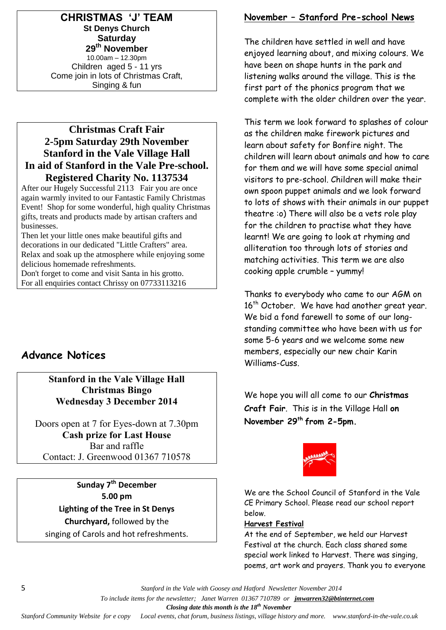**CHRISTMAS 'J' TEAM St Denys Church Saturday 29th November** 10.00am – 12.30pm Children aged 5 - 11 yrs Come join in lots of Christmas Craft, Singing & fun

## **Christmas Craft Fair 2-5pm Saturday 29th November Stanford in the Vale Village Hall In aid of Stanford in the Vale Pre-school. Registered Charity No. 1137534**

After our Hugely Successful 2113 Fair you are once again warmly invited to our Fantastic Family Christmas Event! Shop for some wonderful, high quality Christmas gifts, treats and products made by artisan crafters and businesses.

Then let your little ones make beautiful gifts and decorations in our dedicated "Little Crafters" area. Relax and soak up the atmosphere while enjoying some delicious homemade refreshments.

Don't forget to come and visit Santa in his grotto. For all enquiries contact Chrissy on 07733113216

# **Advance Notices**

**Stanford in the Vale Village Hall Christmas Bingo Wednesday 3 December 2014**

Doors open at 7 for Eyes-down at 7.30pm **Cash prize for Last House** Bar and raffle Contact: J. Greenwood 01367 710578

**Sunday 7th December 5.00 pm Lighting of the Tree in St Denys Churchyard,** followed by the singing of Carols and hot refreshments.

## **November – Stanford Pre-school News**

The children have settled in well and have enjoyed learning about, and mixing colours. We have been on shape hunts in the park and listening walks around the village. This is the first part of the phonics program that we complete with the older children over the year.

This term we look forward to splashes of colour as the children make firework pictures and learn about safety for Bonfire night. The children will learn about animals and how to care for them and we will have some special animal visitors to pre-school. Children will make their own spoon puppet animals and we look forward to lots of shows with their animals in our puppet theatre :o) There will also be a vets role play for the children to practise what they have learnt! We are going to look at rhyming and alliteration too through lots of stories and matching activities. This term we are also cooking apple crumble – yummy!

Thanks to everybody who came to our AGM on 16<sup>th</sup> October. We have had another great year. We bid a fond farewell to some of our longstanding committee who have been with us for some 5-6 years and we welcome some new members, especially our new chair Karin Williams-Cuss.

We hope you will all come to our **Christmas Craft Fair**. This is in the Village Hall **on November 29th from 2-5pm.** 



We are the School Council of Stanford in the Vale CE Primary School. Please read our school report below.

#### **Harvest Festival**

At the end of September, we held our Harvest Festival at the church. Each class shared some special work linked to Harvest. There was singing, poems, art work and prayers. Thank you to everyone

5 *Stanford in the Vale with Goosey and Hatford Newsletter November 2014*

 *To include items for the newsletter; Janet Warren 01367 710789 or jmwarren32@btinternet.com*

 *Closing date this month is the 18th November*